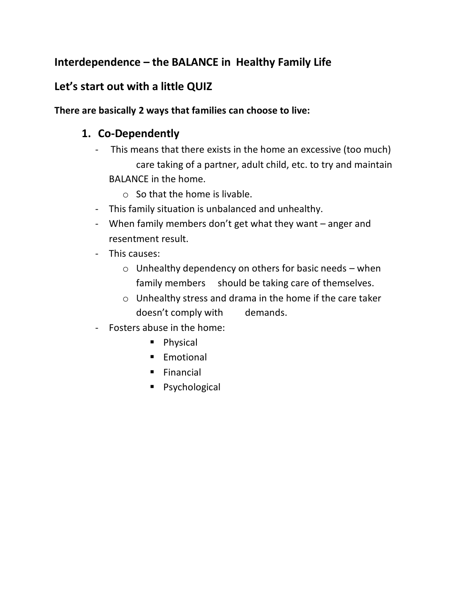# **Interdependence – the BALANCE in Healthy Family Life**

# **Let's start out with a little QUIZ**

#### **There are basically 2 ways that families can choose to live:**

# **1. Co-Dependently**

- This means that there exists in the home an excessive (too much) care taking of a partner, adult child, etc. to try and maintain BALANCE in the home.
	- $\circ$  So that the home is livable.
- This family situation is unbalanced and unhealthy.
- When family members don't get what they want anger and resentment result.
- This causes:
	- $\circ$  Unhealthy dependency on others for basic needs when family members should be taking care of themselves.
	- o Unhealthy stress and drama in the home if the care taker doesn't comply with demands.
- Fosters abuse in the home:
	- Physical
	- Emotional
	- Financial
	- Psychological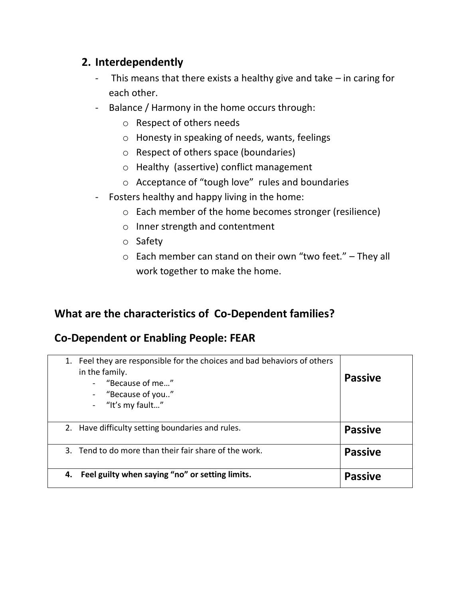## **2. Interdependently**

- This means that there exists a healthy give and take in caring for each other.
- Balance / Harmony in the home occurs through:
	- o Respect of others needs
	- o Honesty in speaking of needs, wants, feelings
	- o Respect of others space (boundaries)
	- o Healthy (assertive) conflict management
	- o Acceptance of "tough love" rules and boundaries
- Fosters healthy and happy living in the home:
	- o Each member of the home becomes stronger (resilience)
	- o Inner strength and contentment
	- o Safety
	- $\circ$  Each member can stand on their own "two feet." They all work together to make the home.

## **What are the characteristics of Co-Dependent families?**

## **Co-Dependent or Enabling People: FEAR**

| 1. | Feel they are responsible for the choices and bad behaviors of others<br>in the family.<br>- "Because of me"<br>- "Because of you"<br>- "It's my fault" | <b>Passive</b> |
|----|---------------------------------------------------------------------------------------------------------------------------------------------------------|----------------|
|    | 2. Have difficulty setting boundaries and rules.                                                                                                        | <b>Passive</b> |
|    | 3. Tend to do more than their fair share of the work.                                                                                                   | <b>Passive</b> |
| 4. | Feel guilty when saying "no" or setting limits.                                                                                                         | <b>Passive</b> |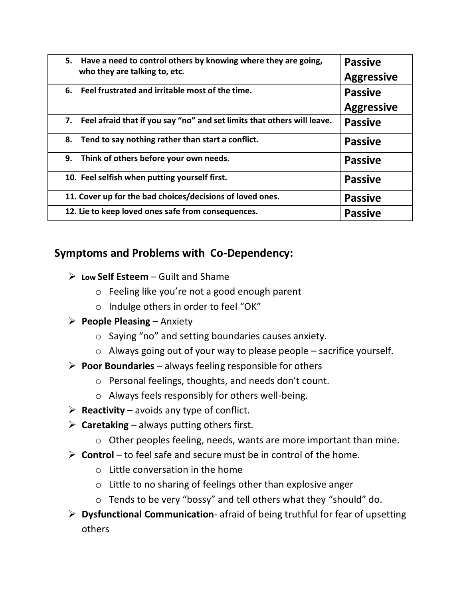| 5. Have a need to control others by knowing where they are going,<br>who they are talking to, etc. | <b>Passive</b><br><b>Aggressive</b> |
|----------------------------------------------------------------------------------------------------|-------------------------------------|
| Feel frustrated and irritable most of the time.<br>6.                                              | <b>Passive</b>                      |
|                                                                                                    | <b>Aggressive</b>                   |
| 7. Feel afraid that if you say "no" and set limits that others will leave.                         | <b>Passive</b>                      |
| 8. Tend to say nothing rather than start a conflict.                                               | <b>Passive</b>                      |
| 9. Think of others before your own needs.                                                          | <b>Passive</b>                      |
| 10. Feel selfish when putting yourself first.                                                      | <b>Passive</b>                      |
| 11. Cover up for the bad choices/decisions of loved ones.                                          | <b>Passive</b>                      |
| 12. Lie to keep loved ones safe from consequences.                                                 | <b>Passive</b>                      |

#### **Symptoms and Problems with Co-Dependency:**

- ➢ **Low Self Esteem** Guilt and Shame
	- o Feeling like you're not a good enough parent
	- o Indulge others in order to feel "OK"

#### ➢ **People Pleasing** – Anxiety

- o Saying "no" and setting boundaries causes anxiety.
- $\circ$  Always going out of your way to please people sacrifice yourself.
- ➢ **Poor Boundaries** always feeling responsible for others
	- o Personal feelings, thoughts, and needs don't count.
	- o Always feels responsibly for others well-being.
- $\triangleright$  **Reactivity** avoids any type of conflict.
- $\triangleright$  **Caretaking** always putting others first.
	- o Other peoples feeling, needs, wants are more important than mine.
- ➢ **Control** to feel safe and secure must be in control of the home.
	- o Little conversation in the home
	- o Little to no sharing of feelings other than explosive anger
	- o Tends to be very "bossy" and tell others what they "should" do.
- ➢ **Dysfunctional Communication** afraid of being truthful for fear of upsetting others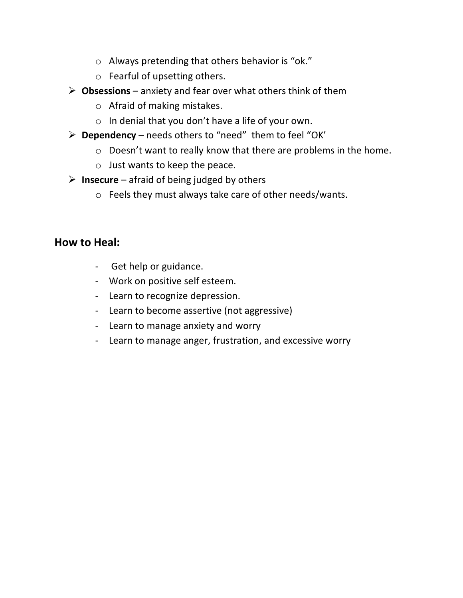- o Always pretending that others behavior is "ok."
- o Fearful of upsetting others.
- ➢ **Obsessions** anxiety and fear over what others think of them
	- o Afraid of making mistakes.
	- o In denial that you don't have a life of your own.
- ➢ **Dependency** needs others to "need" them to feel "OK'
	- o Doesn't want to really know that there are problems in the home.
	- o Just wants to keep the peace.
- ➢ **Insecure** afraid of being judged by others
	- o Feels they must always take care of other needs/wants.

#### **How to Heal:**

- Get help or guidance.
- Work on positive self esteem.
- Learn to recognize depression.
- Learn to become assertive (not aggressive)
- Learn to manage anxiety and worry
- Learn to manage anger, frustration, and excessive worry